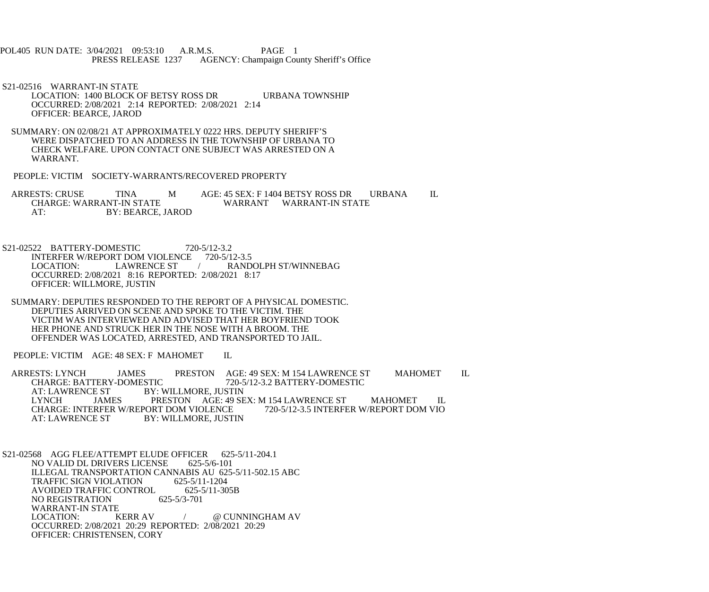POL405 RUN DATE: 3/04/2021 09:53:10 A.R.M.S. PAGE 1 PRESS RELEASE 1237 AGENCY: Champaign County Sheriff's Office

 S21-02516 WARRANT-IN STATE LOCATION: 1400 BLOCK OF BETSY ROSS DR URBANA TOWNSHIP OCCURRED: 2/08/2021 2:14 REPORTED: 2/08/2021 2:14 OFFICER: BEARCE, JAROD

 SUMMARY: ON 02/08/21 AT APPROXIMATELY 0222 HRS. DEPUTY SHERIFF'S WERE DISPATCHED TO AN ADDRESS IN THE TOWNSHIP OF URBANA TO CHECK WELFARE. UPON CONTACT ONE SUBJECT WAS ARRESTED ON A WARRANT.

PEOPLE: VICTIM SOCIETY-WARRANTS/RECOVERED PROPERTY

ARRESTS: CRUSE TINA MAGE: 45 SEX: F 1404 BETSY ROSS DRURBANA IL CHARGE: WARRANT-IN STATE WARRANT WARRANT-IN STATE AT: BY: BEARCE, JAROD

 S21-02522 BATTERY-DOMESTIC 720-5/12-3.2 INTERFER W/REPORT DOM VIOLENCE 720-5/12-3.5<br>LOCATION: LAWRENCE ST / RAND LOCATION: LAWRENCE ST / RANDOLPH ST/WINNEBAG OCCURRED: 2/08/2021 8:16 REPORTED: 2/08/2021 8:17 OFFICER: WILLMORE, JUSTIN

 SUMMARY: DEPUTIES RESPONDED TO THE REPORT OF A PHYSICAL DOMESTIC. DEPUTIES ARRIVED ON SCENE AND SPOKE TO THE VICTIM. THE VICTIM WAS INTERVIEWED AND ADVISED THAT HER BOYFRIEND TOOK HER PHONE AND STRUCK HER IN THE NOSE WITH A BROOM. THE OFFENDER WAS LOCATED, ARRESTED, AND TRANSPORTED TO JAIL.

PEOPLE: VICTIM AGE: 48 SEX: F MAHOMET IL

ARRESTS: LYNCH JAMES PRESTON AGE: 49 SEX: M 154 LAWRENCE ST MAHOMET IL CHARGE: BATTERY-DOMESTIC 720-5/12-3.2 BATTERY-DOMESTIC CHARGE: BATTERY-DOMESTIC 720-5/12-3.2 BATTERY-DOMESTIC<br>AT: LAWRENCE ST BY: WILLMORE. JUSTIN AT: LAWRENCE ST BY: WILLMORE, JUSTIN<br>LYNCH JAMES PRESTON AGE: 49 SE PRESTON AGE: 49 SEX: M 154 LAWRENCE ST MAHOMET IL<br>DRT DOM VIOLENCE 720-5/12-3.5 INTERFER W/REPORT DOM VIO CHARGE: INTERFER W/REPORT DOM VIOLENCE<br>AT: LAWRENCE ST BY: WILLMORE, JUST BY: WILLMORE, JUSTIN

S21-02568 AGG FLEE/ATTEMPT ELUDE OFFICER 625-5/11-204.1 NO VALID DL DRIVERS LICENSE 625-5/6-101 ILLEGAL TRANSPORTATION CANNABIS AU 625-5/11-502.15 ABC<br>TRAFFIC SIGN VIOLATION 625-5/11-1204 TRAFFIC SIGN VIOLATION 625-5/11-1204<br>AVOIDED TRAFFIC CONTROL 625-5/11-305B AVOIDED TRAFFIC CONTROL 625-5<br>NO REGISTRATION 625-5/3-701 NO REGISTRATION WARRANT-IN STATE<br>LOCATION: KERR AV / @ CUNNINGHAM AV OCCURRED: 2/08/2021 20:29 REPORTED: 2/08/2021 20:29 OFFICER: CHRISTENSEN, CORY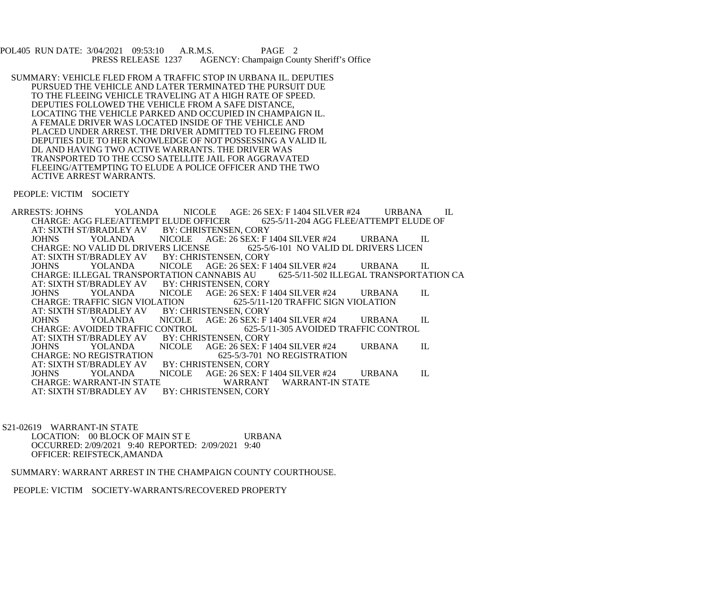POL405 RUN DATE: 3/04/2021 09:53:10 A.R.M.S. PAGE 2<br>PRESS RELEASE 1237 AGENCY: Champaign Cou AGENCY: Champaign County Sheriff's Office

 SUMMARY: VEHICLE FLED FROM A TRAFFIC STOP IN URBANA IL. DEPUTIES PURSUED THE VEHICLE AND LATER TERMINATED THE PURSUIT DUE TO THE FLEEING VEHICLE TRAVELING AT A HIGH RATE OF SPEED. DEPUTIES FOLLOWED THE VEHICLE FROM A SAFE DISTANCE, LOCATING THE VEHICLE PARKED AND OCCUPIED IN CHAMPAIGN IL. A FEMALE DRIVER WAS LOCATED INSIDE OF THE VEHICLE AND PLACED UNDER ARREST. THE DRIVER ADMITTED TO FLEEING FROM DEPUTIES DUE TO HER KNOWLEDGE OF NOT POSSESSING A VALID IL DL AND HAVING TWO ACTIVE WARRANTS. THE DRIVER WAS TRANSPORTED TO THE CCSO SATELLITE JAIL FOR AGGRAVATED FLEEING/ATTEMPTING TO ELUDE A POLICE OFFICER AND THE TWO ACTIVE ARREST WARRANTS.

## PEOPLE: VICTIM SOCIETY

ARRESTS: JOHNS YOLANDA NICOLE AGE: 26 SEX: F 1404 SILVER #24 URBANA IL CHARGE: AGG FLEE/ATTEMPT ELUDE OF CHARGE: AGG FLEE/ATTEMPT ELUDE OFFICER 62<br>AT: SIXTH ST/BRADLEY AV BY: CHRISTENSEN, CORY AT: SIXTH ST/BRADLEY AV<br>JOHNS YOLANDA NICOLE AGE: 26 SEX: F 1404 SILVER #24 URBANA IL<br>ERS LICENSE 625-5/6-101 NO VALID DL DRIVERS LICEN CHARGE: NO VALID DL DRIVERS LICENSE 625-5/67 F. SIXTH ST/BRADLEY AV BY: CHRISTENSEN, CORY AT: SIXTH ST/BRADLEY AV JOHNS YOLANDA NICOLE AGE: 26 SEX: F 1404 SILVER #24 URBANA IL CHARGE: ILLEGAL TRANSPORTATION CANNABIS AU<br>AT: SIXTH ST/BRADLEY AV BY: CHRISTENSEN, CO. AT: SIXTH ST/BRADLEY AV BY: CHRISTENSEN, CORY<br>JOHNS YOLANDA NICOLE AGE: 26 SEX: F 1 JOHNS YOLANDA NICOLE AGE: 26 SEX: F 1404 SILVER #24 URBANA IL<br>CHARGE: TRAFFIC SIGN VIOLATION 625-5/11-120 TRAFFIC SIGN VIOLATION TION 625-5/11-120 TRAFFIC SIGN VIOLATION BY: CHRISTENSEN, CORY AT: SIXTH ST/BRADLEY AV<br>JOHNS YOLANDA JOHNS YOLANDA NICOLE AGE: 26 SEX: F 1404 SILVER #24 URBANA IL CHARGE: AVOIDED TRAFFIC CONTROL CHARGE: AVOIDED TRAFFIC CONTROL 625-5/11-305 AVOIDED TRAFFIC CONTROL<br>AT: SIXTH ST/BRADLEY AV BY: CHRISTENSEN. CORY BRADLEY AV BY: CHRISTENSEN, CORY<br>YOLANDA NICOLE AGE: 26 SEX: F 1 JOHNS YOLANDA NICOLE AGE: 26 SEX: F 1404 SILVER #24 URBANA IL CHARGE: NO REGISTRATION 625-5/3-701 NO REGISTRATION 625-5/3-701 NO REGISTRATION BY: CHRISTENSEN, CORY AT: SIXTH ST/BRADLEY AV<br>JOHNS YOLANDA NICOLE AGE: 26 SEX: F 1404 SILVER #24 URBANA IL WARRANT WARRANT-IN STATE CHARGE: WARRANT-IN STATE WARRANT<br>AT: SIXTH ST/BRADLEY AV BY: CHRISTENSEN, CORY AT: SIXTH ST/BRADLEY AV

 S21-02619 WARRANT-IN STATE LOCATION: 00 BLOCK OF MAIN ST E URBANA OCCURRED: 2/09/2021 9:40 REPORTED: 2/09/2021 9:40 OFFICER: REIFSTECK,AMANDA

## SUMMARY: WARRANT ARREST IN THE CHAMPAIGN COUNTY COURTHOUSE.

PEOPLE: VICTIM SOCIETY-WARRANTS/RECOVERED PROPERTY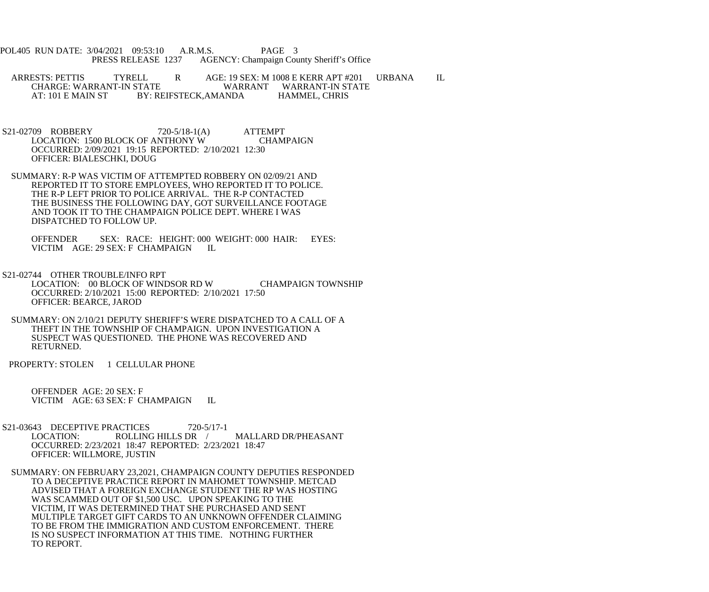POL405 RUN DATE: 3/04/2021 09:53:10 A.R.M.S. PAGE 3<br>PRESS RELEASE 1237 AGENCY: Champaign Cou AGENCY: Champaign County Sheriff's Office

ARRESTS: PETTIS TYRELL R AGE: 19 SEX: M 1008 E KERR APT #201 URBANA IL CHARGE: WARRANT-IN STATE CHARGE: WARRANT-IN STATE WARRANT WARRANT-IN STATE<br>AT: 101 E MAIN ST BY: REIFSTECK.AMANDA HAMMEL. CHRIS BY: REIFSTECK,AMANDA

- S21-02709 ROBBERY 720-5/18-1(A) ATTEMPT LOCATION: 1500 BLOCK OF ANTHONY W CHAMPAIGN OCCURRED: 2/09/2021 19:15 REPORTED: 2/10/2021 12:30 OFFICER: BIALESCHKI, DOUG
- SUMMARY: R-P WAS VICTIM OF ATTEMPTED ROBBERY ON 02/09/21 AND REPORTED IT TO STORE EMPLOYEES, WHO REPORTED IT TO POLICE. THE R-P LEFT PRIOR TO POLICE ARRIVAL. THE R-P CONTACTED THE BUSINESS THE FOLLOWING DAY, GOT SURVEILLANCE FOOTAGE AND TOOK IT TO THE CHAMPAIGN POLICE DEPT. WHERE I WAS DISPATCHED TO FOLLOW UP.

 OFFENDER SEX: RACE: HEIGHT: 000 WEIGHT: 000 HAIR: EYES: VICTIM AGE: 29 SEX: F CHAMPAIGN IL

 S21-02744 OTHER TROUBLE/INFO RPT LOCATION: 00 BLOCK OF WINDSOR RD W CHAMPAIGN TOWNSHIP OCCURRED: 2/10/2021 15:00 REPORTED: 2/10/2021 17:50 OFFICER: BEARCE, JAROD

 SUMMARY: ON 2/10/21 DEPUTY SHERIFF'S WERE DISPATCHED TO A CALL OF A THEFT IN THE TOWNSHIP OF CHAMPAIGN. UPON INVESTIGATION A SUSPECT WAS QUESTIONED. THE PHONE WAS RECOVERED AND RETURNED.

PROPERTY: STOLEN 1 CELLULAR PHONE

 OFFENDER AGE: 20 SEX: F VICTIM AGE: 63 SEX: F CHAMPAIGN IL

- S21-03643 DECEPTIVE PRACTICES 720-5/17-1<br>LOCATION: ROLLING HILLS DR MALLARD DR/PHEASANT OCCURRED: 2/23/2021 18:47 REPORTED: 2/23/2021 18:47 OFFICER: WILLMORE, JUSTIN
- SUMMARY: ON FEBRUARY 23,2021, CHAMPAIGN COUNTY DEPUTIES RESPONDED TO A DECEPTIVE PRACTICE REPORT IN MAHOMET TOWNSHIP. METCAD ADVISED THAT A FOREIGN EXCHANGE STUDENT THE RP WAS HOSTING WAS SCAMMED OUT OF \$1,500 USC. UPON SPEAKING TO THE VICTIM, IT WAS DETERMINED THAT SHE PURCHASED AND SENT MULTIPLE TARGET GIFT CARDS TO AN UNKNOWN OFFENDER CLAIMING TO BE FROM THE IMMIGRATION AND CUSTOM ENFORCEMENT. THERE IS NO SUSPECT INFORMATION AT THIS TIME. NOTHING FURTHER TO REPORT.